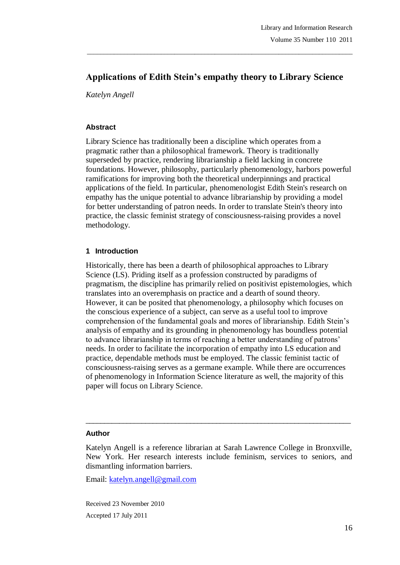# **Applications of Edith Stein's empathy theory to Library Science**

\_\_\_\_\_\_\_\_\_\_\_\_\_\_\_\_\_\_\_\_\_\_\_\_\_\_\_\_\_\_\_\_\_\_\_\_\_\_\_\_\_\_\_\_\_\_\_\_\_\_\_\_\_\_\_\_\_\_\_\_\_\_\_\_\_\_\_\_\_\_\_\_\_\_\_\_\_\_\_

*Katelyn Angell* 

#### **Abstract**

Library Science has traditionally been a discipline which operates from a pragmatic rather than a philosophical framework. Theory is traditionally superseded by practice, rendering librarianship a field lacking in concrete foundations. However, philosophy, particularly phenomenology, harbors powerful ramifications for improving both the theoretical underpinnings and practical applications of the field. In particular, phenomenologist Edith Stein's research on empathy has the unique potential to advance librarianship by providing a model for better understanding of patron needs. In order to translate Stein's theory into practice, the classic feminist strategy of consciousness-raising provides a novel methodology.

#### **1 Introduction**

Historically, there has been a dearth of philosophical approaches to Library Science (LS). Priding itself as a profession constructed by paradigms of pragmatism, the discipline has primarily relied on positivist epistemologies, which translates into an overemphasis on practice and a dearth of sound theory. However, it can be posited that phenomenology, a philosophy which focuses on the conscious experience of a subject, can serve as a useful tool to improve comprehension of the fundamental goals and mores of librarianship. Edith Stein's analysis of empathy and its grounding in phenomenology has boundless potential to advance librarianship in terms of reaching a better understanding of patrons' needs. In order to facilitate the incorporation of empathy into LS education and practice, dependable methods must be employed. The classic feminist tactic of consciousness-raising serves as a germane example. While there are occurrences of phenomenology in Information Science literature as well, the majority of this paper will focus on Library Science.

#### **Author**

 $\_$  ,  $\_$  ,  $\_$  ,  $\_$  ,  $\_$  ,  $\_$  ,  $\_$  ,  $\_$  ,  $\_$  ,  $\_$  ,  $\_$  ,  $\_$  ,  $\_$  ,  $\_$  ,  $\_$  ,  $\_$  ,  $\_$  ,  $\_$  ,  $\_$ 

Email: katelyn.angell@gmail.com

Received 23 November 2010 Accepted 17 July 2011

Katelyn Angell is a reference librarian at Sarah Lawrence College in Bronxville, New York. Her research interests include feminism, services to seniors, and dismantling information barriers.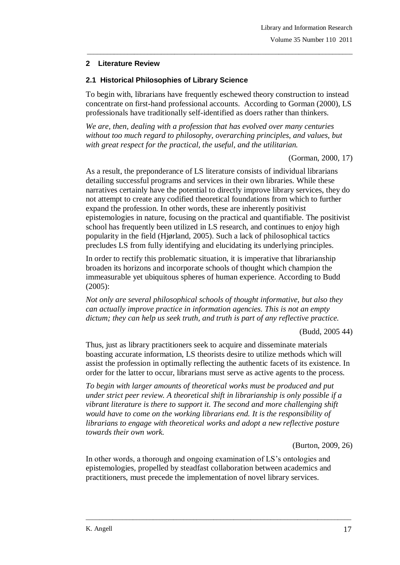### **2 Literature Review**

### **2.1 Historical Philosophies of Library Science**

To begin with, librarians have frequently eschewed theory construction to instead concentrate on first-hand professional accounts. According to Gorman (2000), LS professionals have traditionally self-identified as doers rather than thinkers.

\_\_\_\_\_\_\_\_\_\_\_\_\_\_\_\_\_\_\_\_\_\_\_\_\_\_\_\_\_\_\_\_\_\_\_\_\_\_\_\_\_\_\_\_\_\_\_\_\_\_\_\_\_\_\_\_\_\_\_\_\_\_\_\_\_\_\_\_\_\_\_\_\_\_\_\_\_\_\_

*We are, then, dealing with a profession that has evolved over many centuries without too much regard to philosophy, overarching principles, and values, but with great respect for the practical, the useful, and the utilitarian.*

(Gorman, 2000, 17)

As a result, the preponderance of LS literature consists of individual librarians detailing successful programs and services in their own libraries. While these narratives certainly have the potential to directly improve library services, they do not attempt to create any codified theoretical foundations from which to further expand the profession. In other words, these are inherently positivist epistemologies in nature, focusing on the practical and quantifiable. The positivist school has frequently been utilized in LS research, and continues to enjoy high popularity in the field (Hjørland, 2005). Such a lack of philosophical tactics precludes LS from fully identifying and elucidating its underlying principles.

In order to rectify this problematic situation, it is imperative that librarianship broaden its horizons and incorporate schools of thought which champion the immeasurable yet ubiquitous spheres of human experience. According to Budd (2005):

*Not only are several philosophical schools of thought informative, but also they can actually improve practice in information agencies. This is not an empty dictum; they can help us seek truth, and truth is part of any reflective practice.*

(Budd, 2005 44)

Thus, just as library practitioners seek to acquire and disseminate materials boasting accurate information, LS theorists desire to utilize methods which will assist the profession in optimally reflecting the authentic facets of its existence. In order for the latter to occur, librarians must serve as active agents to the process.

*To begin with larger amounts of theoretical works must be produced and put under strict peer review. A theoretical shift in librarianship is only possible if a vibrant literature is there to support it. The second and more challenging shift would have to come on the working librarians end. It is the responsibility of librarians to engage with theoretical works and adopt a new reflective posture towards their own work.* 

(Burton, 2009, 26)

In other words, a thorough and ongoing examination of LS's ontologies and epistemologies, propelled by steadfast collaboration between academics and practitioners, must precede the implementation of novel library services.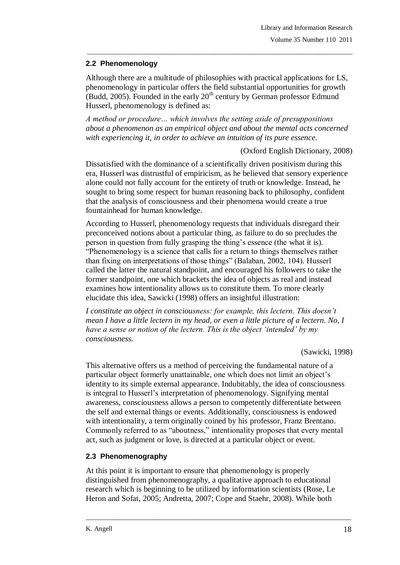# **2.2 Phenomenology**

Although there are a multitude of philosophies with practical applications for LS, phenomenology in particular offers the field substantial opportunities for growth (Budd, 2005). Founded in the early  $20<sup>th</sup>$  century by German professor Edmund Husserl, phenomenology is defined as:

\_\_\_\_\_\_\_\_\_\_\_\_\_\_\_\_\_\_\_\_\_\_\_\_\_\_\_\_\_\_\_\_\_\_\_\_\_\_\_\_\_\_\_\_\_\_\_\_\_\_\_\_\_\_\_\_\_\_\_\_\_\_\_\_\_\_\_\_\_\_\_\_\_\_\_\_\_\_\_

*A method or procedure… which involves the setting aside of presuppositions about a phenomenon as an empirical object and about the mental acts concerned with experiencing it, in order to achieve an intuition of its pure essence.*

(Oxford English Dictionary, 2008)

Dissatisfied with the dominance of a scientifically driven positivism during this era, Husserl was distrustful of empiricism, as he believed that sensory experience alone could not fully account for the entirety of truth or knowledge. Instead, he sought to bring some respect for human reasoning back to philosophy, confident that the analysis of consciousness and their phenomena would create a true fountainhead for human knowledge.

According to Husserl, phenomenology requests that individuals disregard their preconceived notions about a particular thing, as failure to do so precludes the person in question from fully grasping the thing's essence (the what it is). "Phenomenology is a science that calls for a return to things themselves rather than fixing on interpretations of those things" (Balaban, 2002, 104). Husserl called the latter the natural standpoint, and encouraged his followers to take the former standpoint, one which brackets the idea of objects as real and instead examines how intentionality allows us to constitute them. To more clearly elucidate this idea, Sawicki (1998) offers an insightful illustration:

*I constitute an object in consciousness: for example, this lectern. This doesn"t mean I have a little lectern in my head, or even a little picture of a lectern. No, I have a sense or notion of the lectern. This is the object "intended" by my consciousness.*

(Sawicki, 1998)

This alternative offers us a method of perceiving the fundamental nature of a particular object formerly unattainable, one which does not limit an object's identity to its simple external appearance. Indubitably, the idea of consciousness is integral to Husserl's interpretation of phenomenology. Signifying mental awareness, consciousness allows a person to competently differentiate between the self and external things or events. Additionally, consciousness is endowed with intentionality, a term originally coined by his professor, Franz Brentano. Commonly referred to as "aboutness," intentionality proposes that every mental act, such as judgment or love, is directed at a particular object or event.

# **2.3 Phenomenography**

At this point it is important to ensure that phenomenology is properly distinguished from phenomenography, a qualitative approach to educational research which is beginning to be utilized by information scientists (Rose, Le Heron and Sofat, 2005; Andretta, 2007; Cope and Staehr, 2008). While both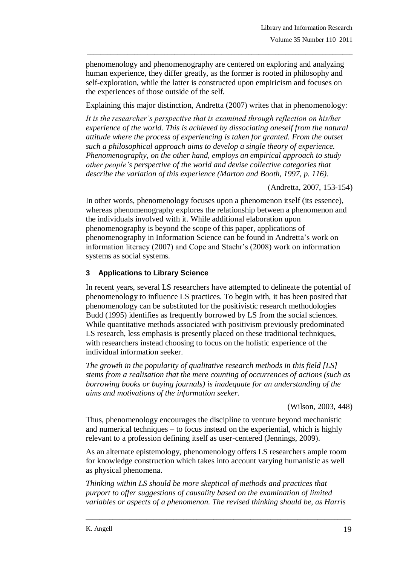phenomenology and phenomenography are centered on exploring and analyzing human experience, they differ greatly, as the former is rooted in philosophy and self-exploration, while the latter is constructed upon empiricism and focuses on the experiences of those outside of the self.

\_\_\_\_\_\_\_\_\_\_\_\_\_\_\_\_\_\_\_\_\_\_\_\_\_\_\_\_\_\_\_\_\_\_\_\_\_\_\_\_\_\_\_\_\_\_\_\_\_\_\_\_\_\_\_\_\_\_\_\_\_\_\_\_\_\_\_\_\_\_\_\_\_\_\_\_\_\_\_

Explaining this major distinction, Andretta (2007) writes that in phenomenology:

*It is the researcher"s perspective that is examined through reflection on his/her experience of the world. This is achieved by dissociating oneself from the natural attitude where the process of experiencing is taken for granted. From the outset such a philosophical approach aims to develop a single theory of experience. Phenomenography, on the other hand, employs an empirical approach to study other people"s perspective of the world and devise collective categories that describe the variation of this experience (Marton and Booth, 1997, p. 116).* 

(Andretta, 2007, 153-154)

In other words, phenomenology focuses upon a phenomenon itself (its essence), whereas phenomenography explores the relationship between a phenomenon and the individuals involved with it. While additional elaboration upon phenomenography is beyond the scope of this paper, applications of phenomenography in Information Science can be found in Andretta's work on information literacy (2007) and Cope and Staehr's (2008) work on information systems as social systems.

# **3 Applications to Library Science**

In recent years, several LS researchers have attempted to delineate the potential of phenomenology to influence LS practices. To begin with, it has been posited that phenomenology can be substituted for the positivistic research methodologies Budd (1995) identifies as frequently borrowed by LS from the social sciences. While quantitative methods associated with positivism previously predominated LS research, less emphasis is presently placed on these traditional techniques, with researchers instead choosing to focus on the holistic experience of the individual information seeker.

*The growth in the popularity of qualitative research methods in this field [LS] stems from a realisation that the mere counting of occurrences of actions (such as borrowing books or buying journals) is inadequate for an understanding of the aims and motivations of the information seeker.* 

(Wilson, 2003, 448)

Thus, phenomenology encourages the discipline to venture beyond mechanistic and numerical techniques – to focus instead on the experiential, which is highly relevant to a profession defining itself as user-centered (Jennings, 2009).

As an alternate epistemology, phenomenology offers LS researchers ample room for knowledge construction which takes into account varying humanistic as well as physical phenomena.

*Thinking within LS should be more skeptical of methods and practices that purport to offer suggestions of causality based on the examination of limited variables or aspects of a phenomenon. The revised thinking should be, as Harris*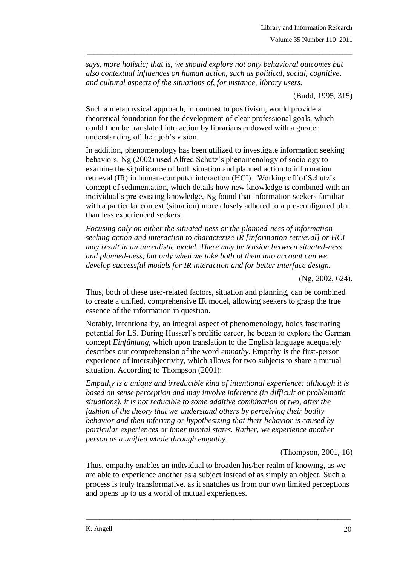*says, more holistic; that is, we should explore not only behavioral outcomes but also contextual influences on human action, such as political, social, cognitive, and cultural aspects of the situations of, for instance, library users.*

\_\_\_\_\_\_\_\_\_\_\_\_\_\_\_\_\_\_\_\_\_\_\_\_\_\_\_\_\_\_\_\_\_\_\_\_\_\_\_\_\_\_\_\_\_\_\_\_\_\_\_\_\_\_\_\_\_\_\_\_\_\_\_\_\_\_\_\_\_\_\_\_\_\_\_\_\_\_\_

(Budd, 1995, 315)

Such a metaphysical approach, in contrast to positivism, would provide a theoretical foundation for the development of clear professional goals, which could then be translated into action by librarians endowed with a greater understanding of their job's vision.

In addition, phenomenology has been utilized to investigate information seeking behaviors. Ng (2002) used Alfred Schutz's phenomenology of sociology to examine the significance of both situation and planned action to information retrieval (IR) in human-computer interaction (HCI). Working off of Schutz's concept of sedimentation, which details how new knowledge is combined with an individual's pre-existing knowledge, Ng found that information seekers familiar with a particular context (situation) more closely adhered to a pre-configured plan than less experienced seekers.

*Focusing only on either the situated-ness or the planned-ness of information seeking action and interaction to characterize IR [information retrieval] or HCI may result in an unrealistic model. There may be tension between situated-ness and planned-ness, but only when we take both of them into account can we develop successful models for IR interaction and for better interface design.*

(Ng, 2002, 624).

Thus, both of these user-related factors, situation and planning, can be combined to create a unified, comprehensive IR model, allowing seekers to grasp the true essence of the information in question.

Notably, intentionality, an integral aspect of phenomenology, holds fascinating potential for LS. During Husserl's prolific career, he began to explore the German concept *[Einfühlung](http://www.dict.cc/german-english/Einfühlung.html)*, which upon translation to the English language adequately describes our comprehension of the word *empathy*. Empathy is the first-person experience of intersubjectivity, which allows for two subjects to share a mutual situation. According to Thompson (2001):

*Empathy is a unique and irreducible kind of intentional experience: although it is based on sense perception and may involve inference (in difficult or problematic situations), it is not reducible to some additive combination of two, after the fashion of the theory that we understand others by perceiving their bodily behavior and then inferring or hypothesizing that their behavior is caused by particular experiences or inner mental states. Rather, we experience another person as a unified whole through empathy.*

(Thompson, 2001, 16)

Thus, empathy enables an individual to broaden his/her realm of knowing, as we are able to experience another as a subject instead of as simply an object. Such a process is truly transformative, as it snatches us from our own limited perceptions and opens up to us a world of mutual experiences.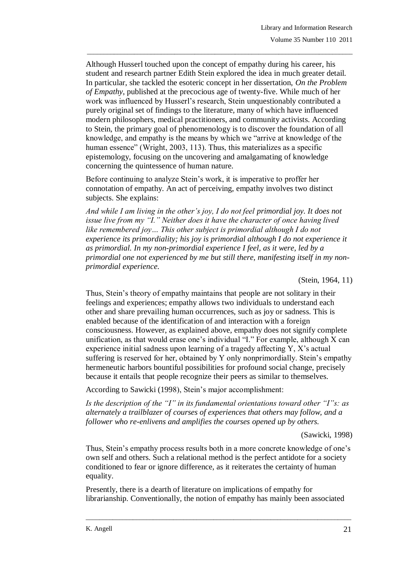Although Husserl touched upon the concept of empathy during his career, his student and research partner Edith Stein explored the idea in much greater detail. In particular, she tackled the esoteric concept in her dissertation, *On the Problem of Empathy*, published at the precocious age of twenty-five. While much of her work was influenced by Husserl's research, Stein unquestionably contributed a purely original set of findings to the literature, many of which have influenced modern philosophers, medical practitioners, and community activists. According to Stein, the primary goal of phenomenology is to discover the foundation of all knowledge, and empathy is the means by which we "arrive at knowledge of the human essence" (Wright, 2003, 113). Thus, this materializes as a specific epistemology, focusing on the uncovering and amalgamating of knowledge concerning the quintessence of human nature.

\_\_\_\_\_\_\_\_\_\_\_\_\_\_\_\_\_\_\_\_\_\_\_\_\_\_\_\_\_\_\_\_\_\_\_\_\_\_\_\_\_\_\_\_\_\_\_\_\_\_\_\_\_\_\_\_\_\_\_\_\_\_\_\_\_\_\_\_\_\_\_\_\_\_\_\_\_\_\_

Before continuing to analyze Stein's work, it is imperative to proffer her connotation of empathy. An act of perceiving, empathy involves two distinct subjects. She explains:

*And while I am living in the other"s joy, I do not feel primordial joy. It does not issue live from my "I." Neither does it have the character of once having lived like remembered joy… This other subject is primordial although I do not experience its primordiality; his joy is primordial although I do not experience it as primordial. In my non-primordial experience I feel, as it were, led by a primordial one not experienced by me but still there, manifesting itself in my nonprimordial experience.*

(Stein, 1964, 11)

Thus, Stein's theory of empathy maintains that people are not solitary in their feelings and experiences; empathy allows two individuals to understand each other and share prevailing human occurrences, such as joy or sadness. This is enabled because of the identification of and interaction with a foreign consciousness. However, as explained above, empathy does not signify complete unification, as that would erase one's individual "I." For example, although X can experience initial sadness upon learning of a tragedy affecting Y, X's actual suffering is reserved for her, obtained by Y only nonprimordially. Stein's empathy hermeneutic harbors bountiful possibilities for profound social change, precisely because it entails that people recognize their peers as similar to themselves.

According to Sawicki (1998), Stein's major accomplishment:

*Is the description of the "I" in its fundamental orientations toward other "I"s: as alternately a trailblazer of courses of experiences that others may follow, and a follower who re-enlivens and amplifies the courses opened up by others.*

(Sawicki, 1998)

Thus, Stein's empathy process results both in a more concrete knowledge of one's own self and others. Such a relational method is the perfect antidote for a society conditioned to fear or ignore difference, as it reiterates the certainty of human equality.

Presently, there is a dearth of literature on implications of empathy for librarianship. Conventionally, the notion of empathy has mainly been associated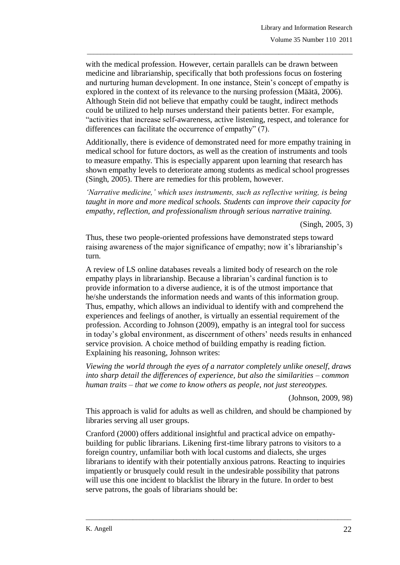with the medical profession. However, certain parallels can be drawn between medicine and librarianship, specifically that both professions focus on fostering and nurturing human development. In one instance, Stein's concept of empathy is explored in the context of its relevance to the nursing profession (Määtä, 2006). Although Stein did not believe that empathy could be taught, indirect methods could be utilized to help nurses understand their patients better. For example, "activities that increase self-awareness, active listening, respect, and tolerance for differences can facilitate the occurrence of empathy" (7).

\_\_\_\_\_\_\_\_\_\_\_\_\_\_\_\_\_\_\_\_\_\_\_\_\_\_\_\_\_\_\_\_\_\_\_\_\_\_\_\_\_\_\_\_\_\_\_\_\_\_\_\_\_\_\_\_\_\_\_\_\_\_\_\_\_\_\_\_\_\_\_\_\_\_\_\_\_\_\_

Additionally, there is evidence of demonstrated need for more empathy training in medical school for future doctors, as well as the creation of instruments and tools to measure empathy. This is especially apparent upon learning that research has shown empathy levels to deteriorate among students as medical school progresses (Singh, 2005). There are remedies for this problem, however.

*"Narrative medicine," which uses instruments, such as reflective writing, is being taught in more and more medical schools. Students can improve their capacity for empathy, reflection, and professionalism through serious narrative training.*

(Singh, 2005, 3)

Thus, these two people-oriented professions have demonstrated steps toward raising awareness of the major significance of empathy; now it's librarianship's turn.

A review of LS online databases reveals a limited body of research on the role empathy plays in librarianship. Because a librarian's cardinal function is to provide information to a diverse audience, it is of the utmost importance that he/she understands the information needs and wants of this information group. Thus, empathy, which allows an individual to identify with and comprehend the experiences and feelings of another, is virtually an essential requirement of the profession. According to Johnson (2009), empathy is an integral tool for success in today's global environment, as discernment of others' needs results in enhanced service provision. A choice method of building empathy is reading fiction. Explaining his reasoning, Johnson writes:

*Viewing the world through the eyes of a narrator completely unlike oneself, draws into sharp detail the differences of experience, but also the similarities – common human traits – that we come to know others as people, not just stereotypes.* 

(Johnson, 2009, 98)

This approach is valid for adults as well as children, and should be championed by libraries serving all user groups.

Cranford (2000) offers additional insightful and practical advice on empathybuilding for public librarians. Likening first-time library patrons to visitors to a foreign country, unfamiliar both with local customs and dialects, she urges librarians to identify with their potentially anxious patrons. Reacting to inquiries impatiently or brusquely could result in the undesirable possibility that patrons will use this one incident to blacklist the library in the future. In order to best serve patrons, the goals of librarians should be: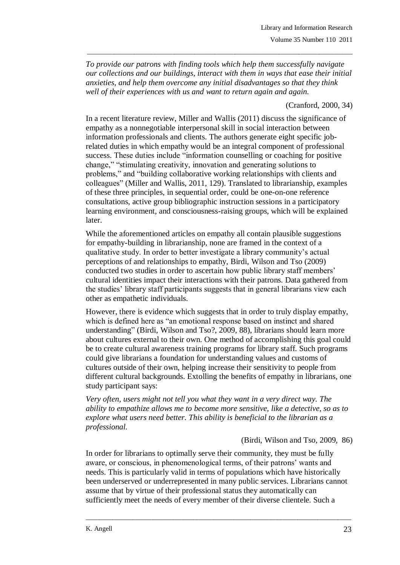*To provide our patrons with finding tools which help them successfully navigate our collections and our buildings, interact with them in ways that ease their initial anxieties, and help them overcome any initial disadvantages so that they think well of their experiences with us and want to return again and again.*

\_\_\_\_\_\_\_\_\_\_\_\_\_\_\_\_\_\_\_\_\_\_\_\_\_\_\_\_\_\_\_\_\_\_\_\_\_\_\_\_\_\_\_\_\_\_\_\_\_\_\_\_\_\_\_\_\_\_\_\_\_\_\_\_\_\_\_\_\_\_\_\_\_\_\_\_\_\_\_

(Cranford, 2000, 34)

In a recent literature review, Miller and Wallis (2011) discuss the significance of empathy as a nonnegotiable interpersonal skill in social interaction between information professionals and clients. The authors generate eight specific jobrelated duties in which empathy would be an integral component of professional success. These duties include "information counselling or coaching for positive change," "stimulating creativity, innovation and generating solutions to problems," and "building collaborative working relationships with clients and colleagues" (Miller and Wallis, 2011, 129). Translated to librarianship, examples of these three principles, in sequential order, could be one-on-one reference consultations, active group bibliographic instruction sessions in a participatory learning environment, and consciousness-raising groups, which will be explained later.

While the aforementioned articles on empathy all contain plausible suggestions for empathy-building in librarianship, none are framed in the context of a qualitative study. In order to better investigate a library community's actual perceptions of and relationships to empathy, Birdi, Wilson and Tso (2009) conducted two studies in order to ascertain how public library staff members' cultural identities impact their interactions with their patrons. Data gathered from the studies' library staff participants suggests that in general librarians view each other as empathetic individuals.

However, there is evidence which suggests that in order to truly display empathy, which is defined here as "an emotional response based on instinct and shared understanding" (Birdi, Wilson and Tso?, 2009, 88), librarians should learn more about cultures external to their own. One method of accomplishing this goal could be to create cultural awareness training programs for library staff. Such programs could give librarians a foundation for understanding values and customs of cultures outside of their own, helping increase their sensitivity to people from different cultural backgrounds. Extolling the benefits of empathy in librarians, one study participant says:

*Very often, users might not tell you what they want in a very direct way. The ability to empathize allows me to become more sensitive, like a detective, so as to explore what users need better. This ability is beneficial to the librarian as a professional.*

(Birdi, Wilson and Tso, 2009, 86)

In order for librarians to optimally serve their community, they must be fully aware, or conscious, in phenomenological terms, of their patrons' wants and needs. This is particularly valid in terms of populations which have historically been underserved or underrepresented in many public services. Librarians cannot assume that by virtue of their professional status they automatically can sufficiently meet the needs of every member of their diverse clientele. Such a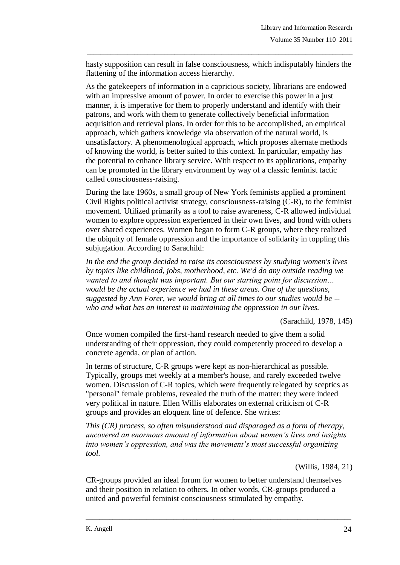hasty supposition can result in false consciousness, which indisputably hinders the flattening of the information access hierarchy.

\_\_\_\_\_\_\_\_\_\_\_\_\_\_\_\_\_\_\_\_\_\_\_\_\_\_\_\_\_\_\_\_\_\_\_\_\_\_\_\_\_\_\_\_\_\_\_\_\_\_\_\_\_\_\_\_\_\_\_\_\_\_\_\_\_\_\_\_\_\_\_\_\_\_\_\_\_\_\_

As the gatekeepers of information in a capricious society, librarians are endowed with an impressive amount of power. In order to exercise this power in a just manner, it is imperative for them to properly understand and identify with their patrons, and work with them to generate collectively beneficial information acquisition and retrieval plans. In order for this to be accomplished, an empirical approach, which gathers knowledge via observation of the natural world, is unsatisfactory. A phenomenological approach, which proposes alternate methods of knowing the world, is better suited to this context. In particular, empathy has the potential to enhance library service. With respect to its applications, empathy can be promoted in the library environment by way of a classic feminist tactic called consciousness-raising.

During the late 1960s, a small group of New York feminists applied a prominent Civil Rights political activist strategy, consciousness-raising (C-R), to the feminist movement. Utilized primarily as a tool to raise awareness, C-R allowed individual women to explore oppression experienced in their own lives, and bond with others over shared experiences. Women began to form C-R groups, where they realized the ubiquity of female oppression and the importance of solidarity in toppling this subjugation. According to Sarachild:

*In the end the group decided to raise its consciousness by studying women's lives by topics like childhood, jobs, motherhood, etc. We'd do any outside reading we wanted to and thought was important. But our starting point for discussion… would be the actual experience we had in these areas. One of the questions, suggested by Ann Forer, we would bring at all times to our studies would be - who and what has an interest in maintaining the oppression in our lives.* 

(Sarachild, 1978, 145)

Once women compiled the first-hand research needed to give them a solid understanding of their oppression, they could competently proceed to develop a concrete agenda, or plan of action.

In terms of structure, C-R groups were kept as non-hierarchical as possible. Typically, groups met weekly at a member's house, and rarely exceeded twelve women. Discussion of C-R topics, which were frequently relegated by sceptics as "personal" female problems, revealed the truth of the matter: they were indeed very political in nature. Ellen Willis elaborates on external criticism of C-R groups and provides an eloquent line of defence. She writes:

*This (CR) process, so often misunderstood and disparaged as a form of therapy, uncovered an enormous amount of information about women"s lives and insights into women"s oppression, and was the movement"s most successful organizing tool.*

(Willis, 1984, 21)

CR-groups provided an ideal forum for women to better understand themselves and their position in relation to others. In other words, CR-groups produced a united and powerful feminist consciousness stimulated by empathy.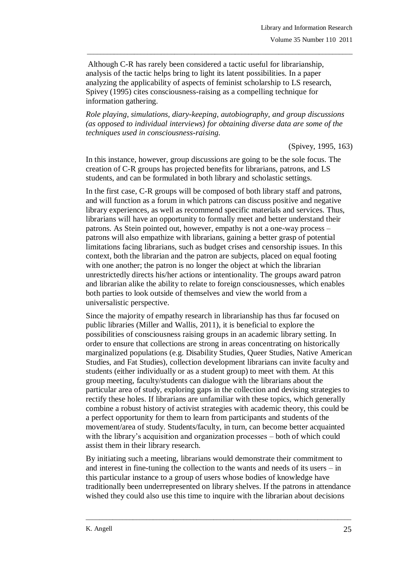Although C-R has rarely been considered a tactic useful for librarianship, analysis of the tactic helps bring to light its latent possibilities. In a paper analyzing the applicability of aspects of feminist scholarship to LS research, Spivey (1995) cites consciousness-raising as a compelling technique for information gathering.

\_\_\_\_\_\_\_\_\_\_\_\_\_\_\_\_\_\_\_\_\_\_\_\_\_\_\_\_\_\_\_\_\_\_\_\_\_\_\_\_\_\_\_\_\_\_\_\_\_\_\_\_\_\_\_\_\_\_\_\_\_\_\_\_\_\_\_\_\_\_\_\_\_\_\_\_\_\_\_

*Role playing, simulations, diary-keeping, autobiography, and group discussions (as opposed to individual interviews) for obtaining diverse data are some of the techniques used in consciousness-raising.*

(Spivey, 1995, 163)

In this instance, however, group discussions are going to be the sole focus. The creation of C-R groups has projected benefits for librarians, patrons, and LS students, and can be formulated in both library and scholastic settings.

In the first case, C-R groups will be composed of both library staff and patrons, and will function as a forum in which patrons can discuss positive and negative library experiences, as well as recommend specific materials and services. Thus, librarians will have an opportunity to formally meet and better understand their patrons. As Stein pointed out, however, empathy is not a one-way process – patrons will also empathize with librarians, gaining a better grasp of potential limitations facing librarians, such as budget crises and censorship issues. In this context, both the librarian and the patron are subjects, placed on equal footing with one another; the patron is no longer the object at which the librarian unrestrictedly directs his/her actions or intentionality. The groups award patron and librarian alike the ability to relate to foreign consciousnesses, which enables both parties to look outside of themselves and view the world from a universalistic perspective.

Since the majority of empathy research in librarianship has thus far focused on public libraries (Miller and Wallis, 2011), it is beneficial to explore the possibilities of consciousness raising groups in an academic library setting. In order to ensure that collections are strong in areas concentrating on historically marginalized populations (e.g. Disability Studies, Queer Studies, Native American Studies, and Fat Studies), collection development librarians can invite faculty and students (either individually or as a student group) to meet with them. At this group meeting, faculty/students can dialogue with the librarians about the particular area of study, exploring gaps in the collection and devising strategies to rectify these holes. If librarians are unfamiliar with these topics, which generally combine a robust history of activist strategies with academic theory, this could be a perfect opportunity for them to learn from participants and students of the movement/area of study. Students/faculty, in turn, can become better acquainted with the library's acquisition and organization processes – both of which could assist them in their library research.

By initiating such a meeting, librarians would demonstrate their commitment to and interest in fine-tuning the collection to the wants and needs of its users – in this particular instance to a group of users whose bodies of knowledge have traditionally been underrepresented on library shelves. If the patrons in attendance wished they could also use this time to inquire with the librarian about decisions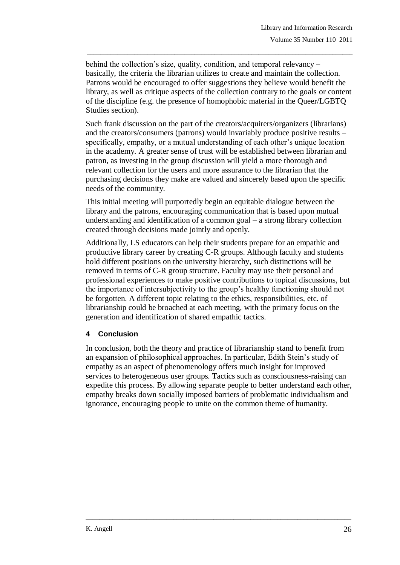behind the collection's size, quality, condition, and temporal relevancy – basically, the criteria the librarian utilizes to create and maintain the collection. Patrons would be encouraged to offer suggestions they believe would benefit the library, as well as critique aspects of the collection contrary to the goals or content of the discipline (e.g. the presence of homophobic material in the Queer/LGBTQ Studies section).

\_\_\_\_\_\_\_\_\_\_\_\_\_\_\_\_\_\_\_\_\_\_\_\_\_\_\_\_\_\_\_\_\_\_\_\_\_\_\_\_\_\_\_\_\_\_\_\_\_\_\_\_\_\_\_\_\_\_\_\_\_\_\_\_\_\_\_\_\_\_\_\_\_\_\_\_\_\_\_

Such frank discussion on the part of the creators/acquirers/organizers (librarians) and the creators/consumers (patrons) would invariably produce positive results – specifically, empathy, or a mutual understanding of each other's unique location in the academy. A greater sense of trust will be established between librarian and patron, as investing in the group discussion will yield a more thorough and relevant collection for the users and more assurance to the librarian that the purchasing decisions they make are valued and sincerely based upon the specific needs of the community.

This initial meeting will purportedly begin an equitable dialogue between the library and the patrons, encouraging communication that is based upon mutual understanding and identification of a common goal – a strong library collection created through decisions made jointly and openly.

Additionally, LS educators can help their students prepare for an empathic and productive library career by creating C-R groups. Although faculty and students hold different positions on the university hierarchy, such distinctions will be removed in terms of C-R group structure. Faculty may use their personal and professional experiences to make positive contributions to topical discussions, but the importance of intersubjectivity to the group's healthy functioning should not be forgotten. A different topic relating to the ethics, responsibilities, etc. of librarianship could be broached at each meeting, with the primary focus on the generation and identification of shared empathic tactics.

# **4 Conclusion**

In conclusion, both the theory and practice of librarianship stand to benefit from an expansion of philosophical approaches. In particular, Edith Stein's study of empathy as an aspect of phenomenology offers much insight for improved services to heterogeneous user groups. Tactics such as consciousness-raising can expedite this process. By allowing separate people to better understand each other, empathy breaks down socially imposed barriers of problematic individualism and ignorance, encouraging people to unite on the common theme of humanity.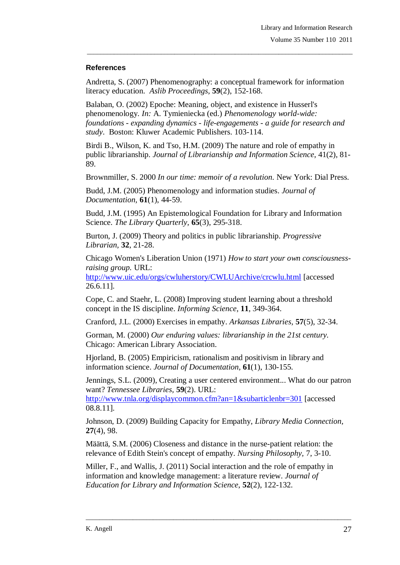#### **References**

Andretta, S. (2007) Phenomenography: a conceptual framework for information literacy education. *Aslib Proceedings*, **59**(2), 152-168.

\_\_\_\_\_\_\_\_\_\_\_\_\_\_\_\_\_\_\_\_\_\_\_\_\_\_\_\_\_\_\_\_\_\_\_\_\_\_\_\_\_\_\_\_\_\_\_\_\_\_\_\_\_\_\_\_\_\_\_\_\_\_\_\_\_\_\_\_\_\_\_\_\_\_\_\_\_\_\_

Balaban, O. (2002) Epoche: Meaning, object, and existence in Husserl's phenomenology. *In:* A. Tymieniecka (ed.) *Phenomenology world-wide: foundations - expanding dynamics - life-engagements - a guide for research and study*. Boston: Kluwer Academic Publishers. 103-114.

Birdi B., Wilson, K. and Tso, H.M. (2009) The nature and role of empathy in public librarianship. *Journal of Librarianship and Information Science*, 41(2), 81- 89.

Brownmiller, S. 2000 *In our time: memoir of a revolution.* New York: Dial Press.

Budd, J.M. (2005) Phenomenology and information studies. *Journal of Documentation,* **61**(1), 44-59.

Budd, J.M. (1995) An Epistemological Foundation for Library and Information Science. *The Library Quarterly,* **65**(3), 295-318.

Burton, J. (2009) Theory and politics in public librarianship. *Progressive Librarian,* **32**, 21-28.

Chicago Women's Liberation Union (1971) *How to start your own consciousnessraising group.* URL:

<http://www.uic.edu/orgs/cwluherstory/CWLUArchive/crcwlu.html> [accessed 26.6.11].

Cope, C. and Staehr, L. (2008) Improving student learning about a threshold concept in the IS discipline. *Informing Science*, **11**, 349-364.

Cranford, J.L. (2000) Exercises in empathy. *Arkansas Libraries,* **57**(5), 32-34.

Gorman, M. (2000) *Our enduring values: librarianship in the 21st century.* Chicago: American Library Association.

Hjorland, B. (2005) Empiricism, rationalism and positivism in library and information science. *Journal of Documentation,* **61**(1), 130-155.

Jennings, S.L. (2009), Creating a user centered environment... What do our patron want? *Tennessee Libraries,* **59**(2). URL:

<http://www.tnla.org/displaycommon.cfm?an=1&subarticlenbr=301> [accessed 08.8.11].

Johnson, D. (2009) Building Capacity for Empathy, *Library Media Connection,*  **27**(4), 98.

Määttä, S.M. (2006) Closeness and distance in the nurse-patient relation: the relevance of Edith Stein's concept of empathy. *Nursing Philosophy,* 7, 3-10.

Miller, F., and Wallis, J. (2011) Social interaction and the role of empathy in information and knowledge management: a literature review. *Journal of Education for Library and Information Science*, **52**(2), 122-132.